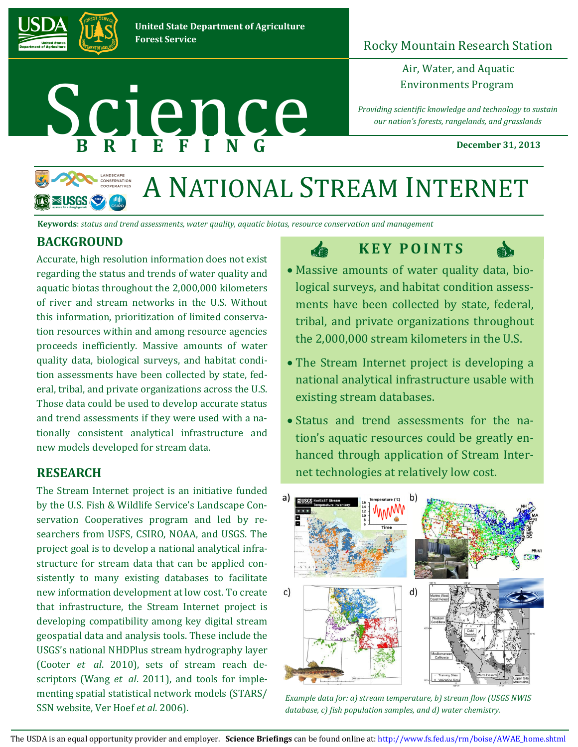

## Rocky Mountain Research Station

Air, Water, and Aquatic

*Providing scientific knowledge and technology to sustain our nation's forests, rangelands, and grasslands*  Environments Program<br>
B R I E F I N G<br>
December 31

**December 31, 2013**



# A NATIONAL STREAM INTERNET

da

**Keywords**: *status and trend assessments, water quality, aquatic biotas, resource conservation and management*

### **BACKGROUND**

Accurate, high resolution information does not exist regarding the status and trends of water quality and aquatic biotas throughout the 2,000,000 kilometers of river and stream networks in the U.S. Without this information, prioritization of limited conservation resources within and among resource agencies proceeds inefficiently. Massive amounts of water quality data, biological surveys, and habitat condition assessments have been collected by state, federal, tribal, and private organizations across the U.S. Those data could be used to develop accurate status and trend assessments if they were used with a nationally consistent analytical infrastructure and new models developed for stream data.

#### **RESEARCH**

The Stream Internet project is an initiative funded by the U.S. Fish & Wildlife Service's Landscape Conservation Cooperatives program and led by researchers from USFS, CSIRO, NOAA, and USGS. The project goal is to develop a national analytical infrastructure for stream data that can be applied consistently to many existing databases to facilitate new information development at low cost. To create that infrastructure, the Stream Internet project is developing compatibility among key digital stream geospatial data and analysis tools. These include the USGS's national NHDPlus stream hydrography layer (Cooter *et al*. 2010), sets of stream reach descriptors (Wang *et al*. 2011), and tools for implementing spatial statistical network models (STARS/ SSN website, Ver Hoef *et al*. 2006).

## **K E Y P O I N T S**



- Massive amounts of water quality data, biological surveys, and habitat condition assessments have been collected by state, federal, tribal, and private organizations throughout the 2,000,000 stream kilometers in the U.S.
- The Stream Internet project is developing a national analytical infrastructure usable with existing stream databases.
- Status and trend assessments for the nation's aquatic resources could be greatly enhanced through application of Stream Internet technologies at relatively low cost.



*Example data for: a) stream temperature, b) stream flow (USGS NWIS database, c) fish population samples, and d) water chemistry.*